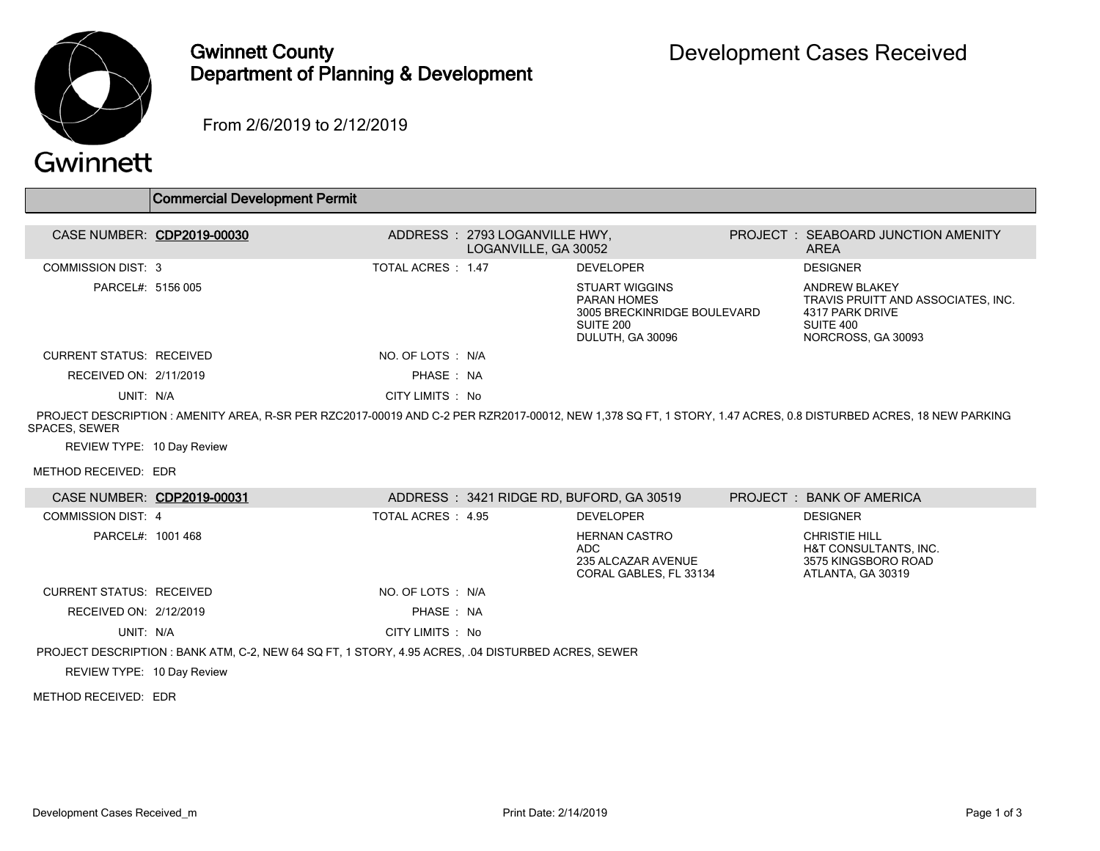

## Gwinnett County Department of Planning & Development

From 2/6/2019 to 2/12/2019

## Gwinnett

|                                 | <b>Commercial Development Permit</b>                                                                                                                           |                    |                                                       |                                                                                                             |                                                                                                                  |
|---------------------------------|----------------------------------------------------------------------------------------------------------------------------------------------------------------|--------------------|-------------------------------------------------------|-------------------------------------------------------------------------------------------------------------|------------------------------------------------------------------------------------------------------------------|
|                                 |                                                                                                                                                                |                    |                                                       |                                                                                                             |                                                                                                                  |
| CASE NUMBER: CDP2019-00030      |                                                                                                                                                                |                    | ADDRESS: 2793 LOGANVILLE HWY.<br>LOGANVILLE, GA 30052 |                                                                                                             | <b>PROJECT : SEABOARD JUNCTION AMENITY</b><br><b>AREA</b>                                                        |
| <b>COMMISSION DIST: 3</b>       |                                                                                                                                                                | TOTAL ACRES : 1.47 |                                                       | <b>DEVELOPER</b>                                                                                            | <b>DESIGNER</b>                                                                                                  |
| PARCEL#: 5156 005               |                                                                                                                                                                |                    |                                                       | <b>STUART WIGGINS</b><br><b>PARAN HOMES</b><br>3005 BRECKINRIDGE BOULEVARD<br>SUITE 200<br>DULUTH, GA 30096 | <b>ANDREW BLAKEY</b><br>TRAVIS PRUITT AND ASSOCIATES, INC.<br>4317 PARK DRIVE<br>SUITE 400<br>NORCROSS, GA 30093 |
| <b>CURRENT STATUS: RECEIVED</b> |                                                                                                                                                                | NO. OF LOTS : N/A  |                                                       |                                                                                                             |                                                                                                                  |
| RECEIVED ON: 2/11/2019          |                                                                                                                                                                | PHASE: NA          |                                                       |                                                                                                             |                                                                                                                  |
| UNIT: N/A                       |                                                                                                                                                                | CITY LIMITS : No   |                                                       |                                                                                                             |                                                                                                                  |
| SPACES, SEWER                   | PROJECT DESCRIPTION: AMENITY AREA, R-SR PER RZC2017-00019 AND C-2 PER RZR2017-00012, NEW 1,378 SQ FT, 1 STORY, 1.47 ACRES, 0.8 DISTURBED ACRES, 18 NEW PARKING |                    |                                                       |                                                                                                             |                                                                                                                  |
| REVIEW TYPE: 10 Day Review      |                                                                                                                                                                |                    |                                                       |                                                                                                             |                                                                                                                  |
| METHOD RECEIVED: EDR            |                                                                                                                                                                |                    |                                                       |                                                                                                             |                                                                                                                  |
| CASE NUMBER: CDP2019-00031      |                                                                                                                                                                |                    |                                                       | ADDRESS: 3421 RIDGE RD, BUFORD, GA 30519                                                                    | PROJECT: BANK OF AMERICA                                                                                         |
| <b>COMMISSION DIST: 4</b>       |                                                                                                                                                                | TOTAL ACRES : 4.95 |                                                       | <b>DEVELOPER</b>                                                                                            | <b>DESIGNER</b>                                                                                                  |
| PARCEL#: 1001 468               |                                                                                                                                                                |                    |                                                       | <b>HERNAN CASTRO</b><br><b>ADC</b><br>235 ALCAZAR AVENUE<br>CORAL GABLES. FL 33134                          | <b>CHRISTIE HILL</b><br>H&T CONSULTANTS, INC.<br>3575 KINGSBORO ROAD<br>ATLANTA, GA 30319                        |
| <b>CURRENT STATUS: RECEIVED</b> |                                                                                                                                                                | NO. OF LOTS : N/A  |                                                       |                                                                                                             |                                                                                                                  |

UNIT: N/A CITY LIMITS : No

RECEIVED ON: 2/12/2019 **PHASE : NA** 

PROJECT DESCRIPTION : BANK ATM, C-2, NEW 64 SQ FT, 1 STORY, 4.95 ACRES, .04 DISTURBED ACRES, SEWER

REVIEW TYPE: 10 Day Review

METHOD RECEIVED: EDR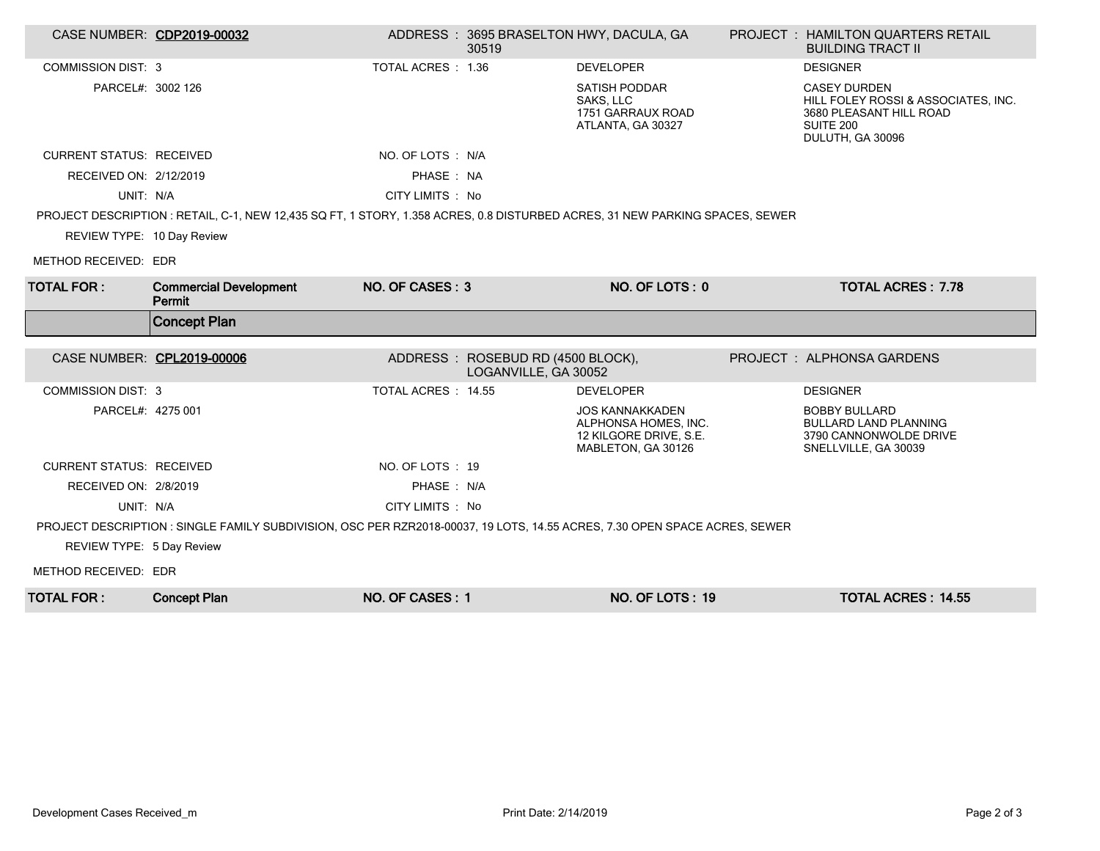| CASE NUMBER: CDP2019-00032      |                                                                                                                              |                     | 30519                                                      | ADDRESS: 3695 BRASELTON HWY, DACULA, GA                                                        | <b>PROJECT : HAMILTON QUARTERS RETAIL</b><br><b>BUILDING TRACT II</b>                                                  |
|---------------------------------|------------------------------------------------------------------------------------------------------------------------------|---------------------|------------------------------------------------------------|------------------------------------------------------------------------------------------------|------------------------------------------------------------------------------------------------------------------------|
| <b>COMMISSION DIST: 3</b>       |                                                                                                                              | TOTAL ACRES : 1.36  |                                                            | <b>DEVELOPER</b>                                                                               | <b>DESIGNER</b>                                                                                                        |
| PARCEL#: 3002 126               |                                                                                                                              |                     |                                                            | <b>SATISH PODDAR</b><br>SAKS, LLC<br>1751 GARRAUX ROAD<br>ATLANTA, GA 30327                    | <b>CASEY DURDEN</b><br>HILL FOLEY ROSSI & ASSOCIATES, INC.<br>3680 PLEASANT HILL ROAD<br>SUITE 200<br>DULUTH, GA 30096 |
| <b>CURRENT STATUS: RECEIVED</b> |                                                                                                                              | NO. OF LOTS : N/A   |                                                            |                                                                                                |                                                                                                                        |
| RECEIVED ON: 2/12/2019          |                                                                                                                              | PHASE: NA           |                                                            |                                                                                                |                                                                                                                        |
| UNIT: N/A                       |                                                                                                                              | CITY LIMITS: No     |                                                            |                                                                                                |                                                                                                                        |
|                                 | PROJECT DESCRIPTION : RETAIL, C-1, NEW 12,435 SQ FT, 1 STORY, 1.358 ACRES, 0.8 DISTURBED ACRES, 31 NEW PARKING SPACES, SEWER |                     |                                                            |                                                                                                |                                                                                                                        |
| REVIEW TYPE: 10 Day Review      |                                                                                                                              |                     |                                                            |                                                                                                |                                                                                                                        |
| METHOD RECEIVED: EDR            |                                                                                                                              |                     |                                                            |                                                                                                |                                                                                                                        |
| <b>TOTAL FOR:</b>               | <b>Commercial Development</b><br>Permit                                                                                      | NO. OF CASES: 3     |                                                            | NO. OF LOTS: 0                                                                                 | <b>TOTAL ACRES: 7.78</b>                                                                                               |
|                                 |                                                                                                                              |                     |                                                            |                                                                                                |                                                                                                                        |
|                                 | <b>Concept Plan</b>                                                                                                          |                     |                                                            |                                                                                                |                                                                                                                        |
| CASE NUMBER: CPL2019-00006      |                                                                                                                              |                     | ADDRESS : ROSEBUD RD (4500 BLOCK),<br>LOGANVILLE, GA 30052 |                                                                                                | <b>PROJECT: ALPHONSA GARDENS</b>                                                                                       |
| <b>COMMISSION DIST: 3</b>       |                                                                                                                              | TOTAL ACRES : 14.55 |                                                            | <b>DEVELOPER</b>                                                                               | <b>DESIGNER</b>                                                                                                        |
| PARCEL#: 4275 001               |                                                                                                                              |                     |                                                            | <b>JOS KANNAKKADEN</b><br>ALPHONSA HOMES. INC.<br>12 KILGORE DRIVE, S.E.<br>MABLETON, GA 30126 | <b>BOBBY BULLARD</b><br><b>BULLARD LAND PLANNING</b><br>3790 CANNONWOLDE DRIVE<br>SNELLVILLE, GA 30039                 |
| <b>CURRENT STATUS: RECEIVED</b> |                                                                                                                              | NO. OF LOTS: 19     |                                                            |                                                                                                |                                                                                                                        |
| RECEIVED ON: 2/8/2019           |                                                                                                                              | PHASE : N/A         |                                                            |                                                                                                |                                                                                                                        |
| UNIT: N/A                       |                                                                                                                              | CITY LIMITS: No     |                                                            |                                                                                                |                                                                                                                        |
|                                 | PROJECT DESCRIPTION : SINGLE FAMILY SUBDIVISION, OSC PER RZR2018-00037, 19 LOTS, 14.55 ACRES, 7.30 OPEN SPACE ACRES, SEWER   |                     |                                                            |                                                                                                |                                                                                                                        |
| REVIEW TYPE: 5 Day Review       |                                                                                                                              |                     |                                                            |                                                                                                |                                                                                                                        |
| METHOD RECEIVED: EDR            |                                                                                                                              |                     |                                                            |                                                                                                |                                                                                                                        |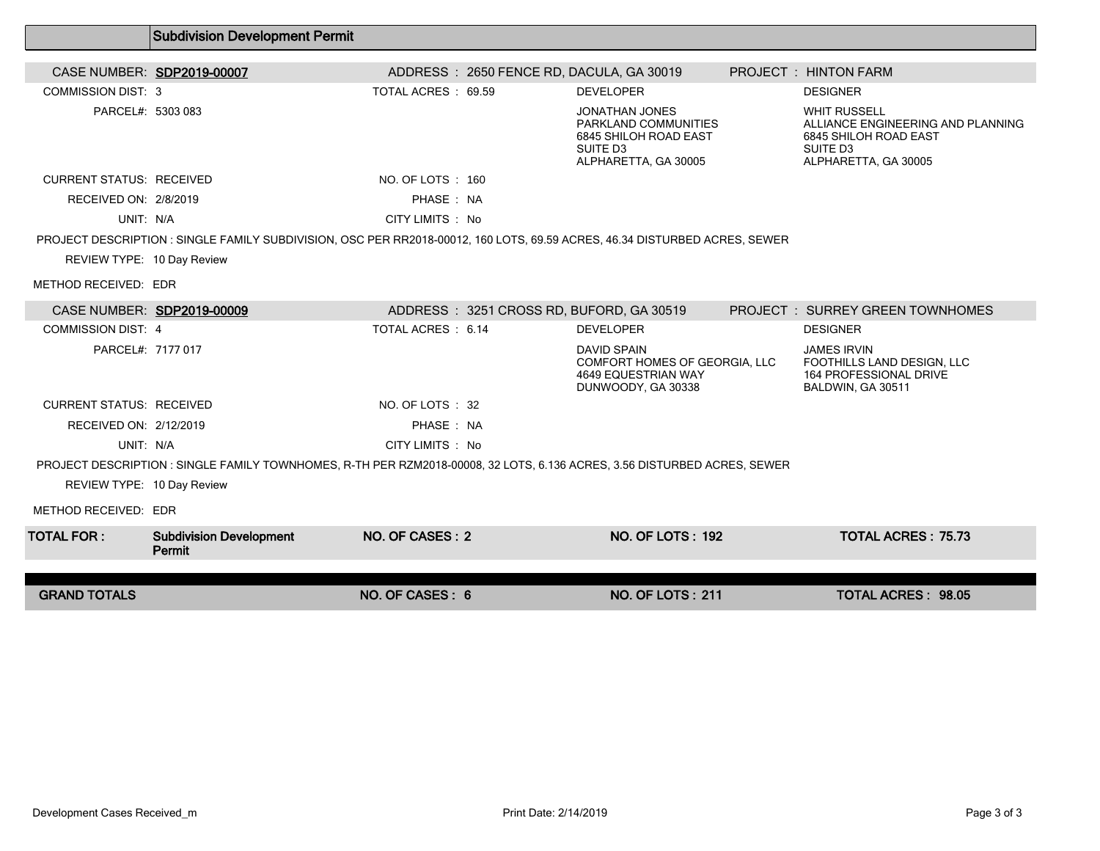|                                 | <b>SUDGIVISION DEVEROPMENT PENINT</b>    |                    |                                                                                                                            |                                                                                  |                                                             |
|---------------------------------|------------------------------------------|--------------------|----------------------------------------------------------------------------------------------------------------------------|----------------------------------------------------------------------------------|-------------------------------------------------------------|
| CASE NUMBER: SDP2019-00007      |                                          |                    | ADDRESS: 2650 FENCE RD, DACULA, GA 30019                                                                                   | <b>PROJECT : HINTON FARM</b>                                                     |                                                             |
| <b>COMMISSION DIST: 3</b>       |                                          | TOTAL ACRES: 69.59 | <b>DEVELOPER</b>                                                                                                           | <b>DESIGNER</b>                                                                  |                                                             |
| PARCEL#: 5303 083               |                                          |                    | <b>JONATHAN JONES</b><br>PARKLAND COMMUNITIES<br>6845 SHILOH ROAD EAST<br>SUITE D3<br>ALPHARETTA, GA 30005                 | <b>WHIT RUSSELL</b><br>6845 SHILOH ROAD EAST<br>SUITE D3<br>ALPHARETTA, GA 30005 | ALLIANCE ENGINEERING AND PLANNING                           |
| <b>CURRENT STATUS: RECEIVED</b> |                                          | NO. OF LOTS: 160   |                                                                                                                            |                                                                                  |                                                             |
| RECEIVED ON: 2/8/2019           |                                          | PHASE: NA          |                                                                                                                            |                                                                                  |                                                             |
| UNIT: N/A                       |                                          | CITY LIMITS : No   |                                                                                                                            |                                                                                  |                                                             |
|                                 |                                          |                    | PROJECT DESCRIPTION : SINGLE FAMILY SUBDIVISION, OSC PER RR2018-00012, 160 LOTS, 69.59 ACRES, 46.34 DISTURBED ACRES, SEWER |                                                                                  |                                                             |
| REVIEW TYPE: 10 Day Review      |                                          |                    |                                                                                                                            |                                                                                  |                                                             |
| METHOD RECEIVED: EDR            |                                          |                    |                                                                                                                            |                                                                                  |                                                             |
| CASE NUMBER: SDP2019-00009      |                                          |                    | ADDRESS: 3251 CROSS RD, BUFORD, GA 30519                                                                                   | <b>PROJECT : SURREY GREEN TOWNHOMES</b>                                          |                                                             |
| <b>COMMISSION DIST: 4</b>       |                                          | TOTAL ACRES: 6.14  | <b>DEVELOPER</b>                                                                                                           | <b>DESIGNER</b>                                                                  |                                                             |
| PARCEL#: 7177 017               |                                          |                    | <b>DAVID SPAIN</b><br>COMFORT HOMES OF GEORGIA, LLC<br><b>4649 EQUESTRIAN WAY</b><br>DUNWOODY, GA 30338                    | <b>JAMES IRVIN</b><br>BALDWIN, GA 30511                                          | FOOTHILLS LAND DESIGN, LLC<br><b>164 PROFESSIONAL DRIVE</b> |
| <b>CURRENT STATUS: RECEIVED</b> |                                          | NO. OF LOTS: 32    |                                                                                                                            |                                                                                  |                                                             |
| RECEIVED ON: 2/12/2019          |                                          | PHASE: NA          |                                                                                                                            |                                                                                  |                                                             |
| UNIT: N/A                       |                                          | CITY LIMITS : No   |                                                                                                                            |                                                                                  |                                                             |
|                                 |                                          |                    | PROJECT DESCRIPTION: SINGLE FAMILY TOWNHOMES, R-TH PER RZM2018-00008, 32 LOTS, 6.136 ACRES, 3.56 DISTURBED ACRES, SEWER    |                                                                                  |                                                             |
| REVIEW TYPE: 10 Day Review      |                                          |                    |                                                                                                                            |                                                                                  |                                                             |
| METHOD RECEIVED: EDR            |                                          |                    |                                                                                                                            |                                                                                  |                                                             |
| <b>TOTAL FOR:</b>               | <b>Subdivision Development</b><br>Permit | NO. OF CASES: 2    | <b>NO. OF LOTS: 192</b>                                                                                                    |                                                                                  | <b>TOTAL ACRES: 75.73</b>                                   |
| <b>GRAND TOTALS</b>             |                                          | NO. OF CASES: 6    | <b>NO. OF LOTS: 211</b>                                                                                                    |                                                                                  | <b>TOTAL ACRES: 98.05</b>                                   |
|                                 |                                          |                    |                                                                                                                            |                                                                                  |                                                             |

Subdivision Development Permit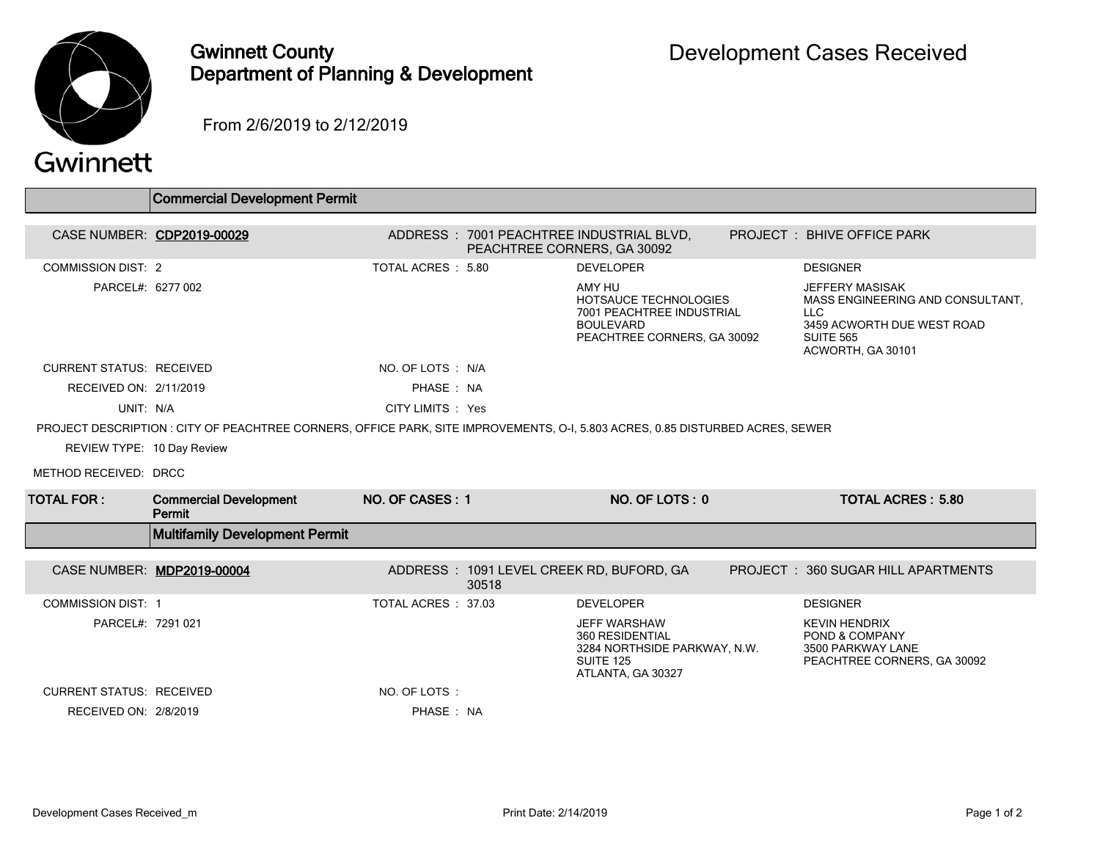

## Gwinnett County Department of Planning & Development

From 2/6/2019 to 2/12/2019

## Gwinnett

|                                 | Commercial Development Permit                                                                                                  |                     |                             |                                                                                                                 |                                                                                                                                           |
|---------------------------------|--------------------------------------------------------------------------------------------------------------------------------|---------------------|-----------------------------|-----------------------------------------------------------------------------------------------------------------|-------------------------------------------------------------------------------------------------------------------------------------------|
|                                 |                                                                                                                                |                     |                             |                                                                                                                 |                                                                                                                                           |
|                                 | CASE NUMBER: CDP2019-00029                                                                                                     |                     | PEACHTREE CORNERS, GA 30092 | ADDRESS : 7001 PEACHTREE INDUSTRIAL BLVD,                                                                       | <b>PROJECT : BHIVE OFFICE PARK</b>                                                                                                        |
| <b>COMMISSION DIST: 2</b>       |                                                                                                                                | TOTAL ACRES : 5.80  |                             | <b>DEVELOPER</b>                                                                                                | <b>DESIGNER</b>                                                                                                                           |
| PARCEL#: 6277 002               |                                                                                                                                |                     |                             | AMY HU<br>HOTSAUCE TECHNOLOGIES<br>7001 PEACHTREE INDUSTRIAL<br><b>BOULEVARD</b><br>PEACHTREE CORNERS, GA 30092 | <b>JEFFERY MASISAK</b><br>MASS ENGINEERING AND CONSULTANT.<br>LLC.<br>3459 ACWORTH DUE WEST ROAD<br><b>SUITE 565</b><br>ACWORTH, GA 30101 |
| <b>CURRENT STATUS: RECEIVED</b> |                                                                                                                                | NO. OF LOTS: N/A    |                             |                                                                                                                 |                                                                                                                                           |
| RECEIVED ON: 2/11/2019          |                                                                                                                                | PHASE: NA           |                             |                                                                                                                 |                                                                                                                                           |
| UNIT: N/A                       |                                                                                                                                | CITY LIMITS : Yes   |                             |                                                                                                                 |                                                                                                                                           |
|                                 | PROJECT DESCRIPTION : CITY OF PEACHTREE CORNERS, OFFICE PARK, SITE IMPROVEMENTS, O-I, 5.803 ACRES, 0.85 DISTURBED ACRES, SEWER |                     |                             |                                                                                                                 |                                                                                                                                           |
| REVIEW TYPE: 10 Day Review      |                                                                                                                                |                     |                             |                                                                                                                 |                                                                                                                                           |
| METHOD RECEIVED: DRCC           |                                                                                                                                |                     |                             |                                                                                                                 |                                                                                                                                           |
| <b>TOTAL FOR:</b>               | <b>Commercial Development</b><br>Permit                                                                                        | NO. OF CASES: 1     |                             | NO. OF LOTS: 0                                                                                                  | <b>TOTAL ACRES: 5.80</b>                                                                                                                  |
|                                 | <b>Multifamily Development Permit</b>                                                                                          |                     |                             |                                                                                                                 |                                                                                                                                           |
|                                 | CASE NUMBER: MDP2019-00004                                                                                                     |                     | 30518                       | ADDRESS: 1091 LEVEL CREEK RD, BUFORD, GA                                                                        | PROJECT: 360 SUGAR HILL APARTMENTS                                                                                                        |
| <b>COMMISSION DIST: 1</b>       |                                                                                                                                | TOTAL ACRES : 37.03 |                             | <b>DEVELOPER</b>                                                                                                | <b>DESIGNER</b>                                                                                                                           |
| PARCEL#: 7291 021               |                                                                                                                                |                     |                             | <b>JEFF WARSHAW</b><br>360 RESIDENTIAL<br>3284 NORTHSIDE PARKWAY, N.W.<br>SUITE 125<br>ATLANTA, GA 30327        | <b>KEVIN HENDRIX</b><br>POND & COMPANY<br>3500 PARKWAY LANE<br>PEACHTREE CORNERS, GA 30092                                                |
| <b>CURRENT STATUS: RECEIVED</b> |                                                                                                                                | NO. OF LOTS:        |                             |                                                                                                                 |                                                                                                                                           |
| RECEIVED ON: 2/8/2019           |                                                                                                                                | PHASE: NA           |                             |                                                                                                                 |                                                                                                                                           |